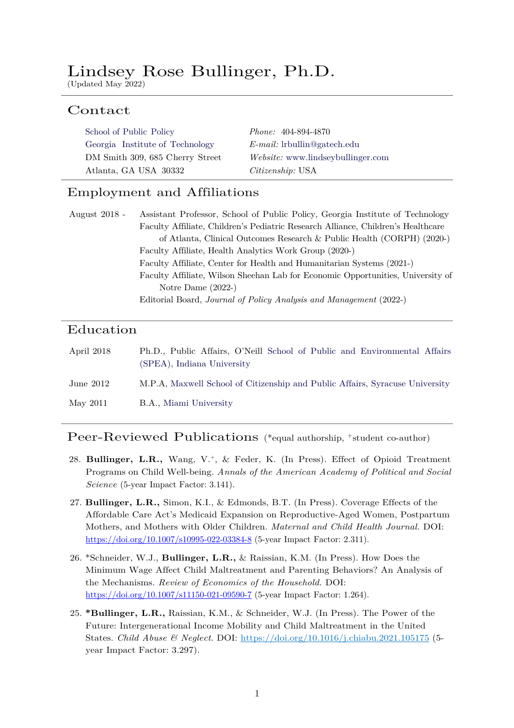# Lindsey Rose Bullinger, Ph.D.

(Updated May 2022)

## Contact

| School of Public Policy         | <i>Phone:</i> 404-894-4870              |
|---------------------------------|-----------------------------------------|
| Georgia Institute of Technology | $E$ - <i>mail</i> : lrbullin@gatech.edu |
| DM Smith 309, 685 Cherry Street | Website: www.lindseybullinger.com       |
| Atlanta, GA USA 30332           | <i>Citizenship</i> : USA                |

## Employment and Affiliations

| August 2018 - | Assistant Professor, School of Public Policy, Georgia Institute of Technology    |
|---------------|----------------------------------------------------------------------------------|
|               | Faculty Affiliate, Children's Pediatric Research Alliance, Children's Healthcare |
|               | of Atlanta, Clinical Outcomes Research & Public Health (CORPH) (2020-)           |
|               | Faculty Affiliate, Health Analytics Work Group (2020-)                           |
|               | Faculty Affiliate, Center for Health and Humanitarian Systems (2021-)            |
|               | Faculty Affiliate, Wilson Sheehan Lab for Economic Opportunities, University of  |
|               | Notre Dame $(2022-)$                                                             |
|               | Editorial Board, Journal of Policy Analysis and Management (2022-)               |

## Education

| April 2018  | Ph.D., Public Affairs, O'Neill School of Public and Environmental Affairs<br>(SPEA), Indiana University |
|-------------|---------------------------------------------------------------------------------------------------------|
| June $2012$ | M.P.A, Maxwell School of Citizenship and Public Affairs, Syracuse University                            |
| May 2011    | B.A., Miami University                                                                                  |

### Peer-Reviewed Publications (\*equal authorship, +student co-author)

- 28. **Bullinger, L.R.,** Wang, V.+, & Feder, K. (In Press). Effect of Opioid Treatment Programs on Child Well-being. *Annals of the American Academy of Political and Social Science* (5-year Impact Factor: 3.141).
- 27. **Bullinger, L.R.,** Simon, K.I., & Edmonds, B.T. (In Press). Coverage Effects of the Affordable Care Act's Medicaid Expansion on Reproductive-Aged Women, Postpartum Mothers, and Mothers with Older Children. *Maternal and Child Health Journal.* DOI: https://doi.org/10.1007/s10995-022-03384-8 (5-year Impact Factor: 2.311).
- 26. \*Schneider, W.J., **Bullinger, L.R.,** & Raissian, K.M. (In Press). How Does the Minimum Wage Affect Child Maltreatment and Parenting Behaviors? An Analysis of the Mechanisms. *Review of Economics of the Household.* DOI: https://doi.org/10.1007/s11150-021-09590-7 (5-year Impact Factor: 1.264).
- 25. **\*Bullinger, L.R.,** Raissian, K.M., & Schneider, W.J. (In Press). The Power of the Future: Intergenerational Income Mobility and Child Maltreatment in the United States. *Child Abuse & Neglect.* DOI: https://doi.org/10.1016/j.chiabu.2021.105175 (5 year Impact Factor: 3.297).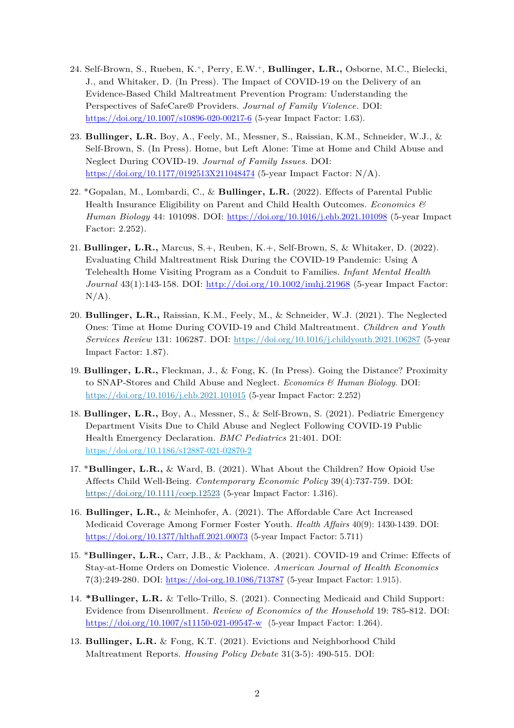- 24. Self-Brown, S., Rueben, K.+, Perry, E.W.+, **Bullinger, L.R.,** Osborne, M.C., Bielecki, J., and Whitaker, D. (In Press). The Impact of COVID-19 on the Delivery of an Evidence-Based Child Maltreatment Prevention Program: Understanding the Perspectives of SafeCare® Providers. *Journal of Family Violence.* DOI: https://doi.org/10.1007/s10896-020-00217-6 (5-year Impact Factor: 1.63).
- 23. **Bullinger, L.R.** Boy, A., Feely, M., Messner, S., Raissian, K.M., Schneider, W.J., & Self-Brown, S. (In Press). Home, but Left Alone: Time at Home and Child Abuse and Neglect During COVID-19. *Journal of Family Issues*. DOI: https://doi.org/10.1177/0192513X211048474 (5-year Impact Factor: N/A).
- 22. \*Gopalan, M., Lombardi, C., & **Bullinger, L.R.** (2022). Effects of Parental Public Health Insurance Eligibility on Parent and Child Health Outcomes. *Economics & Human Biology* 44: 101098*.* DOI: https://doi.org/10.1016/j.ehb.2021.101098 (5-year Impact Factor: 2.252).
- 21. **Bullinger, L.R.,** Marcus, S.+, Reuben, K.+, Self-Brown, S, & Whitaker, D. (2022). Evaluating Child Maltreatment Risk During the COVID-19 Pandemic: Using A Telehealth Home Visiting Program as a Conduit to Families. *Infant Mental Health Journal* 43(1):143-158. DOI: http://doi.org/10.1002/imhj.21968 (5-year Impact Factor:  $N/A$ ).
- 20. **Bullinger, L.R.,** Raissian, K.M., Feely, M., & Schneider, W.J. (2021). The Neglected Ones: Time at Home During COVID-19 and Child Maltreatment. *Children and Youth Services Review* 131: 106287*.* DOI: https://doi.org/10.1016/j.childyouth.2021.106287 (5-year Impact Factor: 1.87).
- 19. **Bullinger, L.R.,** Fleckman, J., & Fong, K. (In Press). Going the Distance? Proximity to SNAP-Stores and Child Abuse and Neglect. *Economics & Human Biology.* DOI: https://doi.org/10.1016/j.ehb.2021.101015 (5-year Impact Factor: 2.252)
- 18. **Bullinger, L.R.,** Boy, A., Messner, S., & Self-Brown, S. (2021). Pediatric Emergency Department Visits Due to Child Abuse and Neglect Following COVID-19 Public Health Emergency Declaration. *BMC Pediatrics* 21:401. DOI: https://doi.org/10.1186/s12887-021-02870-2
- 17. \***Bullinger, L.R.,** & Ward, B. (2021). What About the Children? How Opioid Use Affects Child Well-Being. *Contemporary Economic Policy* 39(4):737-759*.* DOI: https://doi.org/10.1111/coep.12523 (5-year Impact Factor: 1.316).
- 16. **Bullinger, L.R.,** & Meinhofer, A. (2021). The Affordable Care Act Increased Medicaid Coverage Among Former Foster Youth. *Health Affairs* 40(9): 1430-1439*.* DOI: https://doi.org/10.1377/hlthaff.2021.00073 (5-year Impact Factor: 5.711)
- 15. \***Bullinger, L.R.,** Carr, J.B., & Packham, A. (2021). COVID-19 and Crime: Effects of Stay-at-Home Orders on Domestic Violence. *American Journal of Health Economics*  7(3):249-280*.* DOI: https://doi-org.10.1086/713787 (5-year Impact Factor: 1.915).
- 14. **\*Bullinger, L.R.** & Tello-Trillo, S. (2021). Connecting Medicaid and Child Support: Evidence from Disenrollment. *Review of Economics of the Household* 19: 785-812*.* DOI: https://doi.org/10.1007/s11150-021-09547-w (5-year Impact Factor: 1.264).
- 13. **Bullinger, L.R.** & Fong, K.T. (2021). Evictions and Neighborhood Child Maltreatment Reports. *Housing Policy Debate* 31(3-5): 490-515*.* DOI: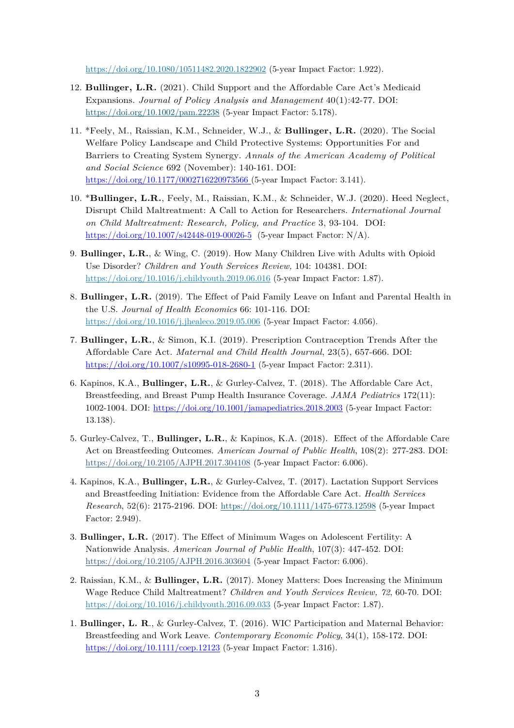https://doi.org/10.1080/10511482.2020.1822902 (5-year Impact Factor: 1.922).

- 12. **Bullinger, L.R.** (2021). Child Support and the Affordable Care Act's Medicaid Expansions. *Journal of Policy Analysis and Management* 40(1):42-77. DOI: https://doi.org/10.1002/pam.22238 (5-year Impact Factor: 5.178).
- 11. \*Feely, M., Raissian, K.M., Schneider, W.J., & **Bullinger, L.R.** (2020). The Social Welfare Policy Landscape and Child Protective Systems: Opportunities For and Barriers to Creating System Synergy. *Annals of the American Academy of Political and Social Science* 692 (November): 140-161. DOI: https://doi.org/10.1177/0002716220973566 (5-year Impact Factor: 3.141).
- 10. \***Bullinger, L.R.**, Feely, M., Raissian, K.M., & Schneider, W.J. (2020). Heed Neglect, Disrupt Child Maltreatment: A Call to Action for Researchers. *International Journal on Child Maltreatment: Research, Policy, and Practice* 3, 93-104. DOI: https://doi.org/10.1007/s42448-019-00026-5 (5-year Impact Factor: N/A).
- 9. **Bullinger, L.R.**, & Wing, C. (2019). How Many Children Live with Adults with Opioid Use Disorder? *Children and Youth Services Review,* 104: 104381. DOI: https://doi.org/10.1016/j.childyouth.2019.06.016 (5-year Impact Factor: 1.87).
- 8. **Bullinger, L.R.** (2019). The Effect of Paid Family Leave on Infant and Parental Health in the U.S. *Journal of Health Economics* 66: 101-116. DOI: https://doi.org/10.1016/j.jhealeco.2019.05.006 (5-year Impact Factor: 4.056).
- 7. **Bullinger, L.R.**, & Simon, K.I. (2019). Prescription Contraception Trends After the Affordable Care Act. *Maternal and Child Health Journal*, 23(5), 657-666. DOI: https://doi.org/10.1007/s10995-018-2680-1 (5-year Impact Factor: 2.311).
- 6. Kapinos, K.A., **Bullinger, L.R.**, & Gurley-Calvez, T. (2018). The Affordable Care Act, Breastfeeding, and Breast Pump Health Insurance Coverage. *JAMA Pediatrics* 172(11): 1002-1004. DOI: https://doi.org/10.1001/jamapediatrics.2018.2003 (5-year Impact Factor: 13.138).
- 5. Gurley-Calvez, T., **Bullinger, L.R.**, & Kapinos, K.A. (2018). Effect of the Affordable Care Act on Breastfeeding Outcomes. *American Journal of Public Health*, 108(2): 277-283. DOI: https://doi.org/10.2105/AJPH.2017.304108 (5-year Impact Factor: 6.006).
- 4. Kapinos, K.A., **Bullinger, L.R.**, & Gurley-Calvez, T. (2017). Lactation Support Services and Breastfeeding Initiation: Evidence from the Affordable Care Act. *Health Services Research*, 52(6): 2175-2196. DOI: https://doi.org/10.1111/1475-6773.12598 (5-year Impact Factor: 2.949).
- 3. **Bullinger, L.R.** (2017). The Effect of Minimum Wages on Adolescent Fertility: A Nationwide Analysis. *American Journal of Public Health*, 107(3): 447-452. DOI: https://doi.org/10.2105/AJPH.2016.303604 (5-year Impact Factor: 6.006).
- 2. Raissian, K.M., & **Bullinger, L.R.** (2017). Money Matters: Does Increasing the Minimum Wage Reduce Child Maltreatment? *Children and Youth Services Review, 72*, 60-70. DOI: https://doi.org/10.1016/j.childyouth.2016.09.033 (5-year Impact Factor: 1.87).
- 1. **Bullinger, L. R**., & Gurley-Calvez, T. (2016). WIC Participation and Maternal Behavior: Breastfeeding and Work Leave. *Contemporary Economic Policy*, 34(1), 158-172. DOI: https://doi.org/10.1111/coep.12123 (5-year Impact Factor: 1.316).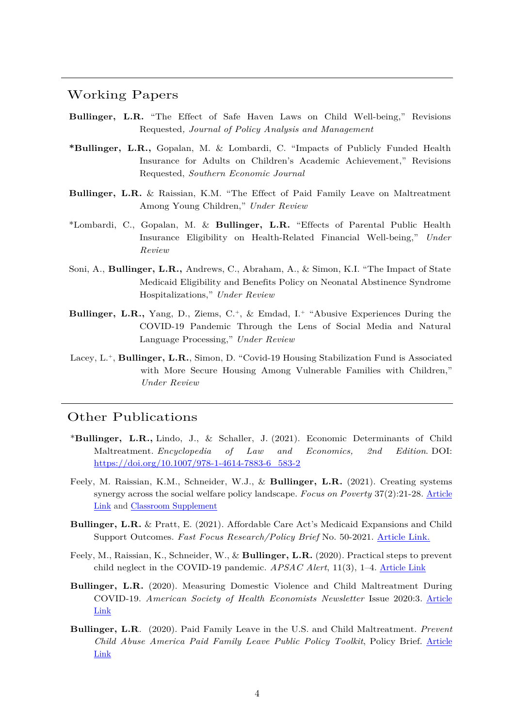### Working Papers

- **Bullinger, L.R.** "The Effect of Safe Haven Laws on Child Well-being," Revisions Requested*, Journal of Policy Analysis and Management*
- **\*Bullinger, L.R.,** Gopalan, M. & Lombardi, C. "Impacts of Publicly Funded Health Insurance for Adults on Children's Academic Achievement," Revisions Requested, *Southern Economic Journal*
- **Bullinger, L.R.** & Raissian, K.M. "The Effect of Paid Family Leave on Maltreatment Among Young Children," *Under Review*
- \*Lombardi, C., Gopalan, M. & **Bullinger, L.R.** "Effects of Parental Public Health Insurance Eligibility on Health-Related Financial Well-being," *Under Review*
- Soni, A., **Bullinger, L.R.,** Andrews, C., Abraham, A., & Simon, K.I. "The Impact of State Medicaid Eligibility and Benefits Policy on Neonatal Abstinence Syndrome Hospitalizations," *Under Review*
- **Bullinger, L.R.,** Yang, D., Ziems, C.<sup>+</sup>, & Emdad, I.<sup>+</sup> "Abusive Experiences During the COVID-19 Pandemic Through the Lens of Social Media and Natural Language Processing," *Under Review*
- Lacey, L.+, **Bullinger, L.R.**, Simon, D. "Covid-19 Housing Stabilization Fund is Associated with More Secure Housing Among Vulnerable Families with Children," *Under Review*

## Other Publications

- \***Bullinger, L.R.,** Lindo, J., & Schaller, J. (2021). Economic Determinants of Child Maltreatment. *Encyclopedia of Law and Economics, 2nd Edition*. DOI: https://doi.org/10.1007/978-1-4614-7883-6\_583-2
- Feely, M. Raissian, K.M., Schneider, W.J., & **Bullinger, L.R.** (2021). Creating systems synergy across the social welfare policy landscape. *Focus on Poverty* 37(2):21-28. Article Link and Classroom Supplement
- **Bullinger, L.R.** & Pratt, E. (2021). Affordable Care Act's Medicaid Expansions and Child Support Outcomes. *Fast Focus Research/Policy Brief* No. 50-2021. Article Link.
- Feely, M., Raissian, K., Schneider, W., & **Bullinger, L.R.** (2020). Practical steps to prevent child neglect in the COVID-19 pandemic. *APSAC Alert*, 11(3), 1–4. Article Link
- **Bullinger, L.R.** (2020). Measuring Domestic Violence and Child Maltreatment During COVID-19. *American Society of Health Economists Newsletter* Issue 2020:3. Article Link
- **Bullinger, L.R**. (2020). Paid Family Leave in the U.S. and Child Maltreatment. *Prevent Child Abuse America Paid Family Leave Public Policy Toolkit*, Policy Brief. Article Link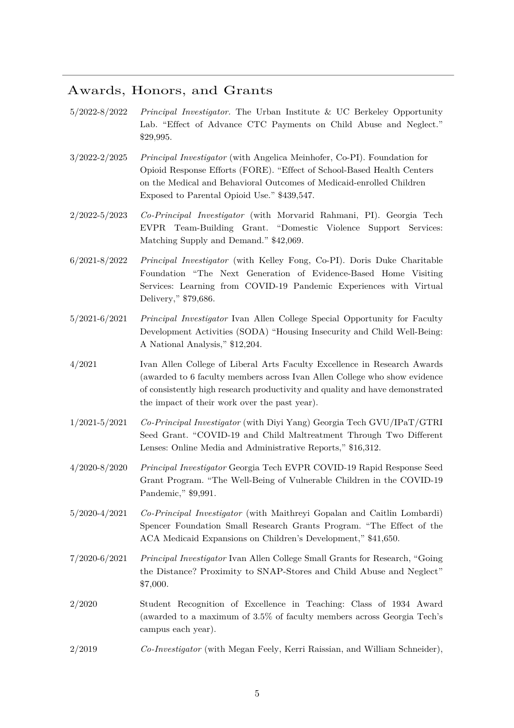## Awards, Honors, and Grants

- 5/2022-8/2022 *Principal Investigator.* The Urban Institute & UC Berkeley Opportunity Lab. "Effect of Advance CTC Payments on Child Abuse and Neglect." \$29,995.
- 3/2022-2/2025 *Principal Investigator* (with Angelica Meinhofer, Co-PI). Foundation for Opioid Response Efforts (FORE). "Effect of School-Based Health Centers on the Medical and Behavioral Outcomes of Medicaid-enrolled Children Exposed to Parental Opioid Use." \$439,547.
- 2/2022-5/2023 *Co-Principal Investigator* (with Morvarid Rahmani, PI). Georgia Tech EVPR Team-Building Grant. "Domestic Violence Support Services: Matching Supply and Demand." \$42,069.
- 6/2021-8/2022 *Principal Investigator* (with Kelley Fong, Co-PI). Doris Duke Charitable Foundation "The Next Generation of Evidence-Based Home Visiting Services: Learning from COVID-19 Pandemic Experiences with Virtual Delivery," \$79,686.
- 5/2021-6/2021 *Principal Investigator* Ivan Allen College Special Opportunity for Faculty Development Activities (SODA) "Housing Insecurity and Child Well-Being: A National Analysis," \$12,204.
- 4/2021 Ivan Allen College of Liberal Arts Faculty Excellence in Research Awards (awarded to 6 faculty members across Ivan Allen College who show evidence of consistently high research productivity and quality and have demonstrated the impact of their work over the past year).
- 1/2021-5/2021 *Co-Principal Investigator* (with Diyi Yang) Georgia Tech GVU/IPaT/GTRI Seed Grant. "COVID-19 and Child Maltreatment Through Two Different Lenses: Online Media and Administrative Reports," \$16,312.
- 4/2020-8/2020 *Principal Investigator* Georgia Tech EVPR COVID-19 Rapid Response Seed Grant Program. "The Well-Being of Vulnerable Children in the COVID-19 Pandemic," \$9,991.
- 5/2020-4/2021 *Co-Principal Investigator* (with Maithreyi Gopalan and Caitlin Lombardi) Spencer Foundation Small Research Grants Program. "The Effect of the ACA Medicaid Expansions on Children's Development," \$41,650.
- 7/2020-6/2021 *Principal Investigator* Ivan Allen College Small Grants for Research, "Going the Distance? Proximity to SNAP-Stores and Child Abuse and Neglect" \$7,000.
- 2/2020 Student Recognition of Excellence in Teaching: Class of 1934 Award (awarded to a maximum of 3.5% of faculty members across Georgia Tech's campus each year).
- 2/2019 *Co-Investigator* (with Megan Feely, Kerri Raissian, and William Schneider),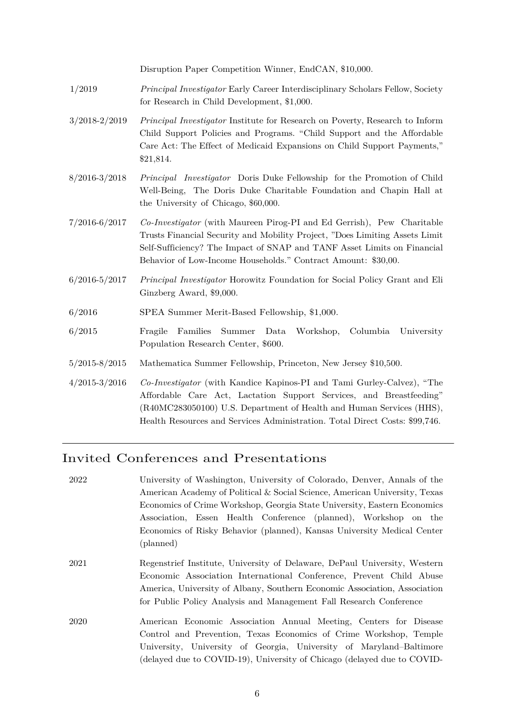Disruption Paper Competition Winner, EndCAN, \$10,000.

- 1/2019 *Principal Investigator* Early Career Interdisciplinary Scholars Fellow, Society for Research in Child Development, \$1,000.
- 3/2018-2/2019 *Principal Investigator* Institute for Research on Poverty, Research to Inform Child Support Policies and Programs. "Child Support and the Affordable Care Act: The Effect of Medicaid Expansions on Child Support Payments," \$21,814.
- 8/2016-3/2018 *Principal Investigator* Doris Duke Fellowship for the Promotion of Child Well-Being, The Doris Duke Charitable Foundation and Chapin Hall at the University of Chicago, \$60,000.
- 7/2016-6/2017 *Co-Investigator* (with Maureen Pirog-PI and Ed Gerrish), Pew Charitable Trusts Financial Security and Mobility Project, "Does Limiting Assets Limit Self-Sufficiency? The Impact of SNAP and TANF Asset Limits on Financial Behavior of Low-Income Households." Contract Amount: \$30,00.
- 6/2016-5/2017 *Principal Investigator* Horowitz Foundation for Social Policy Grant and Eli Ginzberg Award, \$9,000.
- 6/2016 SPEA Summer Merit-Based Fellowship, \$1,000.
- 6/2015 Fragile Families Summer Data Workshop, Columbia University Population Research Center, \$600.
- 5/2015-8/2015 Mathematica Summer Fellowship, Princeton, New Jersey \$10,500.
- 4/2015-3/2016 *Co-Investigator* (with Kandice Kapinos-PI and Tami Gurley-Calvez), "The Affordable Care Act, Lactation Support Services, and Breastfeeding" (R40MC283050100) U.S. Department of Health and Human Services (HHS), Health Resources and Services Administration. Total Direct Costs: \$99,746.

## Invited Conferences and Presentations

| 2022 | University of Washington, University of Colorado, Denver, Annals of the    |
|------|----------------------------------------------------------------------------|
|      | American Academy of Political & Social Science, American University, Texas |
|      | Economics of Crime Workshop, Georgia State University, Eastern Economics   |
|      | Association, Essen Health Conference (planned), Workshop on the            |
|      | Economics of Risky Behavior (planned), Kansas University Medical Center    |
|      | (planned)                                                                  |
| 2021 | Regenstrief Institute, University of Delaware, DePaul University, Western  |
|      | Economic Association International Conference, Prevent Child Abuse         |
|      | America, University of Albany, Southern Economic Association, Association  |
|      | for Public Policy Analysis and Management Fall Research Conference         |
| 2020 | American Economic Association Annual Meeting, Centers for Disease          |
|      | Control and Prevention, Texas Economics of Crime Workshop, Temple          |
|      | University, University of Georgia, University of Maryland–Baltimore        |
|      | (delayed due to COVID-19), University of Chicago (delayed due to COVID-    |
|      |                                                                            |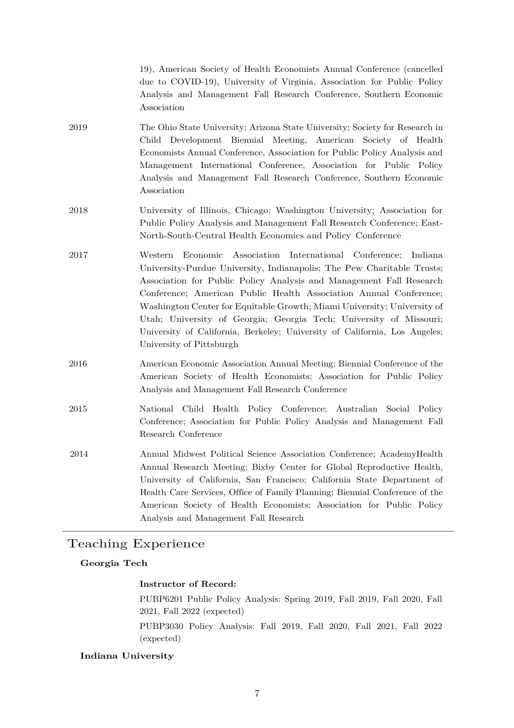19), American Society of Health Economists Annual Conference (cancelled due to COVID-19), University of Virginia, Association for Public Policy Analysis and Management Fall Research Conference, Southern Economic Association

- 2019 The Ohio State University; Arizona State University; Society for Research in Child Development Biennial Meeting, American Society of Health Economists Annual Conference, Association for Public Policy Analysis and Management International Conference, Association for Public Policy Analysis and Management Fall Research Conference, Southern Economic Association
- 2018 University of Illinois, Chicago; Washington University; Association for Public Policy Analysis and Management Fall Research Conference; East-North-South-Central Health Economics and Policy Conference
- 2017 Western Economic Association International Conference; Indiana University-Purdue University, Indianapolis; The Pew Charitable Trusts; Association for Public Policy Analysis and Management Fall Research Conference; American Public Health Association Annual Conference; Washington Center for Equitable Growth; Miami University; University of Utah; University of Georgia; Georgia Tech; University of Missouri; University of California, Berkeley; University of California, Los Angeles; University of Pittsburgh
- 2016 American Economic Association Annual Meeting; Biennial Conference of the American Society of Health Economists; Association for Public Policy Analysis and Management Fall Research Conference
- 2015 National Child Health Policy Conference; Australian Social Policy Conference; Association for Public Policy Analysis and Management Fall Research Conference
- 2014 Annual Midwest Political Science Association Conference; AcademyHealth Annual Research Meeting; Bixby Center for Global Reproductive Health, University of California, San Francisco; California State Department of Health Care Services, Office of Family Planning; Biennial Conference of the American Society of Health Economists; Association for Public Policy Analysis and Management Fall Research

## Teaching Experience

#### **Georgia Tech**

#### **Instructor of Record:**

PUBP6201 Public Policy Analysis: Spring 2019, Fall 2019, Fall 2020, Fall 2021, Fall 2022 (expected)

PUBP3030 Policy Analysis: Fall 2019, Fall 2020, Fall 2021, Fall 2022 (expected)

#### **Indiana University**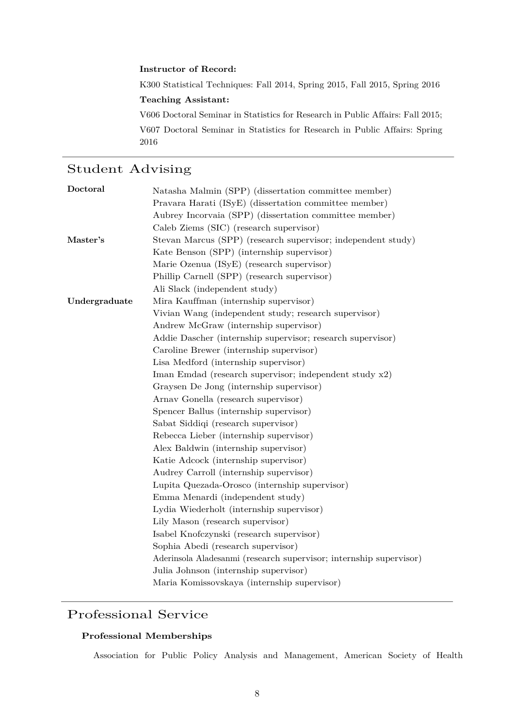#### **Instructor of Record:**

K300 Statistical Techniques: Fall 2014, Spring 2015, Fall 2015, Spring 2016

#### **Teaching Assistant:**

V606 Doctoral Seminar in Statistics for Research in Public Affairs: Fall 2015;

V607 Doctoral Seminar in Statistics for Research in Public Affairs: Spring 2016

## Student Advising

| Doctoral      | Natasha Malmin (SPP) (dissertation committee member)               |
|---------------|--------------------------------------------------------------------|
|               | Pravara Harati (ISyE) (dissertation committee member)              |
|               | Aubrey Incorvaia (SPP) (dissertation committee member)             |
|               | Caleb Ziems (SIC) (research supervisor)                            |
| Master's      | Stevan Marcus (SPP) (research supervisor; independent study)       |
|               | Kate Benson (SPP) (internship supervisor)                          |
|               | Marie Ozenua (ISyE) (research supervisor)                          |
|               | Phillip Carnell (SPP) (research supervisor)                        |
|               | Ali Slack (independent study)                                      |
| Undergraduate | Mira Kauffman (internship supervisor)                              |
|               | Vivian Wang (independent study; research supervisor)               |
|               | Andrew McGraw (internship supervisor)                              |
|               | Addie Dascher (internship supervisor; research supervisor)         |
|               | Caroline Brewer (internship supervisor)                            |
|               | Lisa Medford (internship supervisor)                               |
|               | Iman Emdad (research supervisor; independent study x2)             |
|               | Graysen De Jong (internship supervisor)                            |
|               | Arnav Gonella (research supervisor)                                |
|               | Spencer Ballus (internship supervisor)                             |
|               | Sabat Siddiqi (research supervisor)                                |
|               | Rebecca Lieber (internship supervisor)                             |
|               | Alex Baldwin (internship supervisor)                               |
|               | Katie Adcock (internship supervisor)                               |
|               | Audrey Carroll (internship supervisor)                             |
|               | Lupita Quezada-Orosco (internship supervisor)                      |
|               | Emma Menardi (independent study)                                   |
|               | Lydia Wiederholt (internship supervisor)                           |
|               | Lily Mason (research supervisor)                                   |
|               | Isabel Knofczynski (research supervisor)                           |
|               | Sophia Abedi (research supervisor)                                 |
|               | Aderinsola Aladesanmi (research supervisor; internship supervisor) |
|               | Julia Johnson (internship supervisor)                              |
|               | Maria Komissovskaya (internship supervisor)                        |

## Professional Service

#### **Professional Memberships**

Association for Public Policy Analysis and Management, American Society of Health